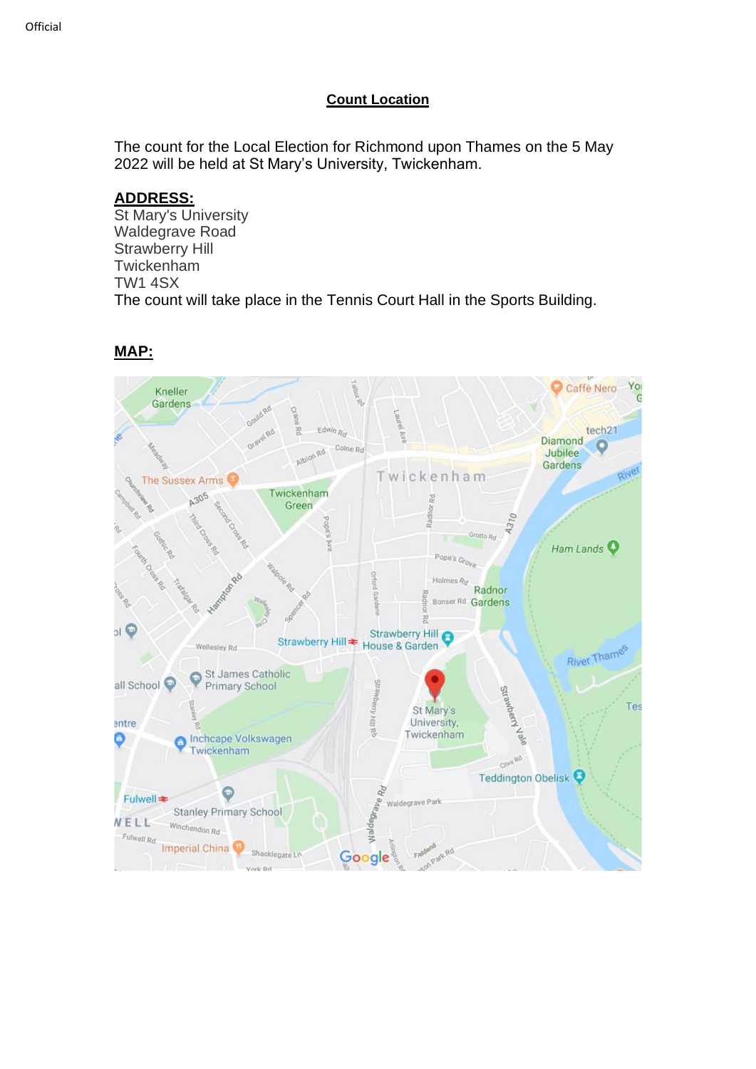#### **Count Location**

The count for the Local Election for Richmond upon Thames on the 5 May 2022 will be held at St Mary's University, Twickenham.

### **ADDRESS:**

St Mary's University Waldegrave Road Strawberry Hill Twickenham TW1 4SX The count will take place in the Tennis Court Hall in the Sports Building.



### **MAP:**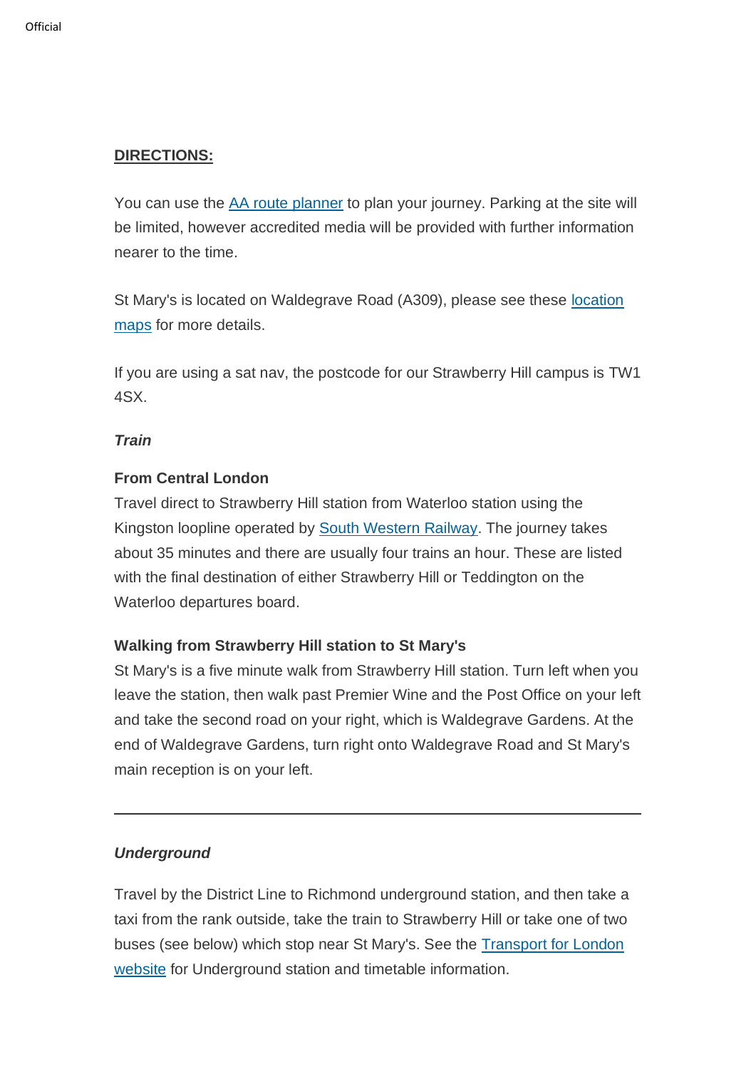# **DIRECTIONS:**

You can use the [AA route planner](http://www.theaa.com/) to plan your journey. Parking at the site will be limited, however accredited media will be provided with further information nearer to the time.

St Mary's is located on Waldegrave Road (A309), please see these [location](https://www.stmarys.ac.uk/contact/location-maps.aspx)  [maps](https://www.stmarys.ac.uk/contact/location-maps.aspx) for more details.

If you are using a sat nav, the postcode for our Strawberry Hill campus is TW1 4SX.

### *Train*

### **From Central London**

Travel direct to Strawberry Hill station from Waterloo station using the Kingston loopline operated by [South Western Railway.](https://www.southwesternrailway.com/) The journey takes about 35 minutes and there are usually four trains an hour. These are listed with the final destination of either Strawberry Hill or Teddington on the Waterloo departures board.

## **Walking from Strawberry Hill station to St Mary's**

St Mary's is a five minute walk from Strawberry Hill station. Turn left when you leave the station, then walk past Premier Wine and the Post Office on your left and take the second road on your right, which is Waldegrave Gardens. At the end of Waldegrave Gardens, turn right onto Waldegrave Road and St Mary's main reception is on your left.

#### *Underground*

Travel by the District Line to Richmond underground station, and then take a taxi from the rank outside, take the train to Strawberry Hill or take one of two buses (see below) which stop near St Mary's. See the [Transport for London](http://www.tfl.gov.uk/)  [website](http://www.tfl.gov.uk/) for Underground station and timetable information.